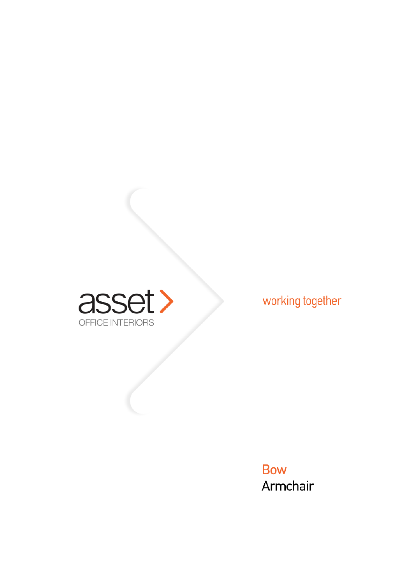

working together

**Bow** Armchair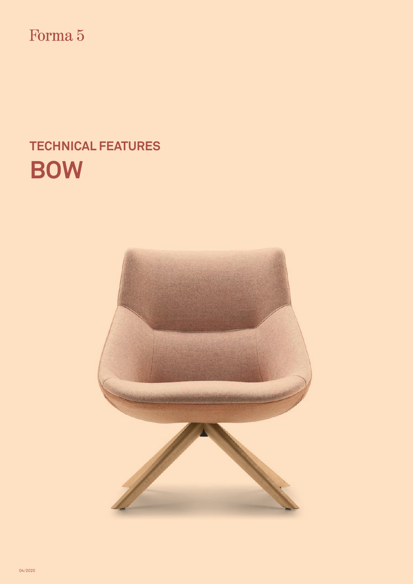Forma 5

# **TECHNICAL FEATURES BOW**

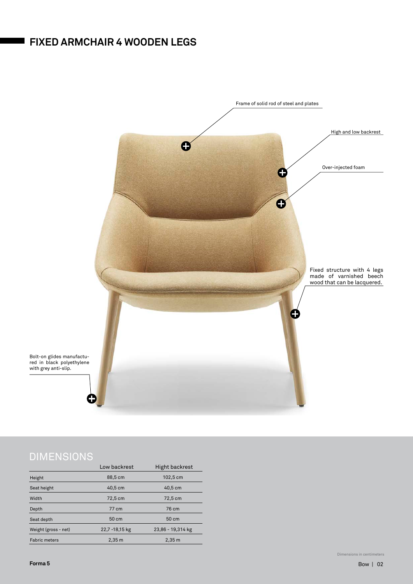### **FIXED ARMCHAIR 4 WOODEN LEGS**



|                      | Low backrest       | Hight backrest     |
|----------------------|--------------------|--------------------|
| Height               | 88,5 cm            | 102,5 cm           |
| Seat height          | 40,5 cm            | 40,5 cm            |
| Width                | 72,5 cm            | 72,5 cm            |
| Depth                | 77 cm              | 76 cm              |
| Seat depth           | 50 cm              | 50 cm              |
| Weight (gross - net) | 22,7 -18,15 kg     | 23,86 - 19,314 kg  |
| <b>Fabric meters</b> | $2,35 \, \text{m}$ | $2,35 \, \text{m}$ |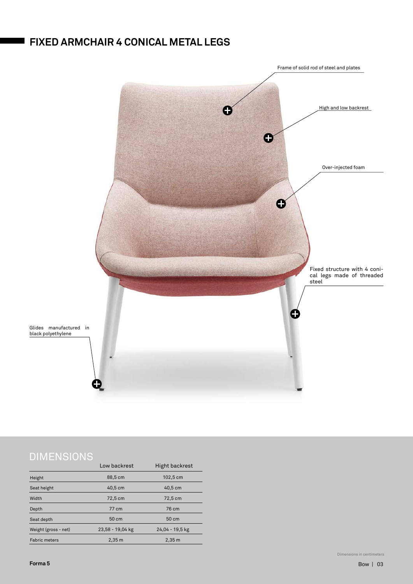### **FIXED ARMCHAIR 4 CONICAL METAL LEGS**



|                      | Low backrest       | <b>Hight backrest</b> |
|----------------------|--------------------|-----------------------|
| Height               | 88,5 cm            | 102,5 cm              |
| Seat height          | $40,5$ cm          | 40,5 cm               |
| Width                | 72,5 cm            | 72,5 cm               |
| Depth                | 77 cm              | 76 cm                 |
| Seat depth           | 50 cm              | 50 cm                 |
| Weight (gross - net) | 23,58 - 19,04 kg   | 24,04 - 19,5 kg       |
| <b>Fabric meters</b> | $2,35 \, \text{m}$ | 2,35 m                |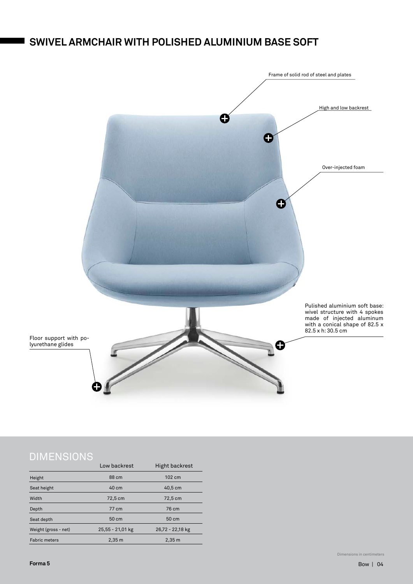### **SWIVEL ARMCHAIR WITH POLISHED ALUMINIUM BASE SOFT**



|                      | Low backrest       | <b>Hight backrest</b> |
|----------------------|--------------------|-----------------------|
| Height               | 88 cm              | 102 cm                |
| Seat height          | 40 cm              | $40,5$ cm             |
| Width                | 72,5 cm            | 72,5 cm               |
| Depth                | 77 cm              | 76 cm                 |
| Seat depth           | 50 cm              | 50 cm                 |
| Weight (gross - net) | 25,55 - 21,01 kg   | 26,72 - 22,18 kg      |
| <b>Fabric meters</b> | $2,35 \, \text{m}$ | 2,35 m                |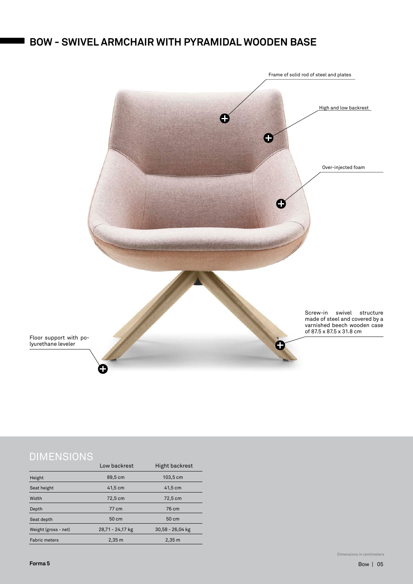### **BOW - SWIVEL ARMCHAIR WITH PYRAMIDAL WOODEN BASE**



|                      | Low backrest       | <b>Hight backrest</b> |
|----------------------|--------------------|-----------------------|
| Height               | 89,5 cm            | 103,5 cm              |
| Seat height          | $41,5$ cm          | $41,5$ cm             |
| Width                | 72,5 cm            | 72,5 cm               |
| Depth                | 77 cm              | 76 cm                 |
| Seat depth           | 50 cm              | 50 cm                 |
| Weight (gross - net) | 28,71 - 24,17 kg   | 30,58 - 26,04 kg      |
| <b>Fabric meters</b> | $2,35 \, \text{m}$ | $2,35 \, \text{m}$    |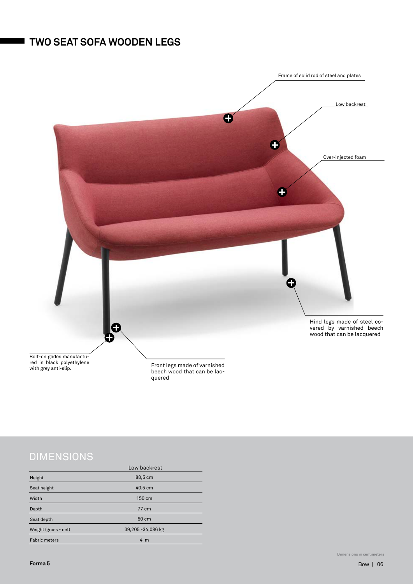### **TWO SEAT SOFA WOODEN LEGS**



|                      | Low backrest       |  |
|----------------------|--------------------|--|
| Height               | 88,5 cm            |  |
| Seat height          | 40,5 cm            |  |
| Width                | 150 cm             |  |
| Depth                | 77 cm              |  |
| Seat depth           | 50 cm              |  |
| Weight (gross - net) | 39,205 - 34,086 kg |  |
| <b>Fabric meters</b> | 4 <sub>m</sub>     |  |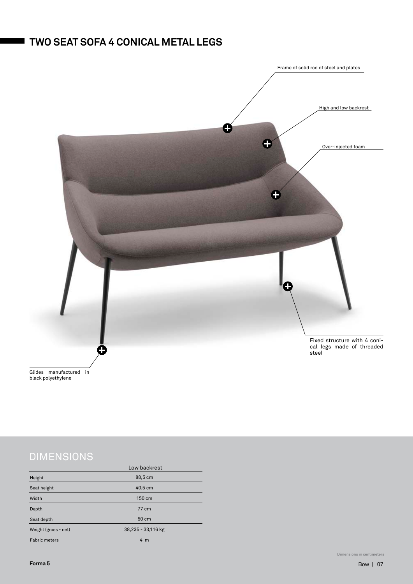### **TWO SEAT SOFA 4 CONICAL METAL LEGS**



Glides manufactured in black polyethylene

|                      | Low backrest       |  |
|----------------------|--------------------|--|
| Height               | 88,5 cm            |  |
| Seat height          | 40,5 cm            |  |
| Width                | 150 cm             |  |
| Depth                | 77 cm              |  |
| Seat depth           | 50 cm              |  |
| Weight (gross - net) | 38,235 - 33,116 kg |  |
| <b>Fabric meters</b> | 4 <sub>m</sub>     |  |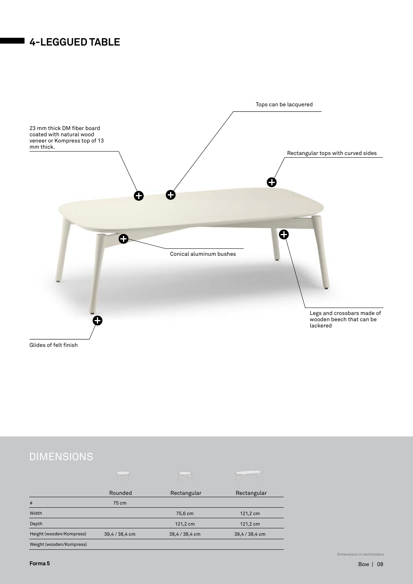### **4-LEGGUED TABLE**



|                          | Rounded        | Rectangular    | Rectangular    |
|--------------------------|----------------|----------------|----------------|
| Ø                        | 75 cm          |                |                |
| Width                    |                | 75,6 cm        | 121,2 cm       |
| Depth                    |                | 121,2 cm       | 121,2 cm       |
| Height (wooden/Kompress) | 39,4 / 38,4 cm | 39,4 / 38,4 cm | 39,4 / 38,4 cm |
| Weight (wooden/Kompress) |                |                |                |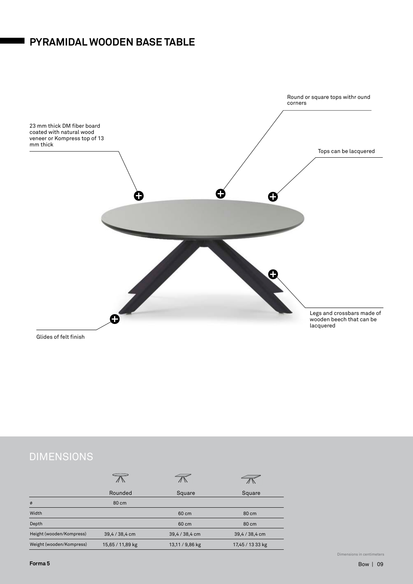### **PYRAMIDAL WOODEN BASE TABLE**



# **DIMENSIONS**

|                          | Rounded          | Square          | Square           |
|--------------------------|------------------|-----------------|------------------|
| Ø                        | 80 cm            |                 |                  |
| Width                    |                  | 60 cm           | 80 cm            |
| Depth                    |                  | 60 cm           | 80 cm            |
| Height (wooden/Kompress) | 39,4 / 38,4 cm   | 39,4 / 38,4 cm  | 39,4 / 38,4 cm   |
| Weight (wooden/Kompress) | 15,65 / 11,89 kg | 13,11 / 9,86 kg | 17,45 / 13 33 kg |

Dimensions in centimeters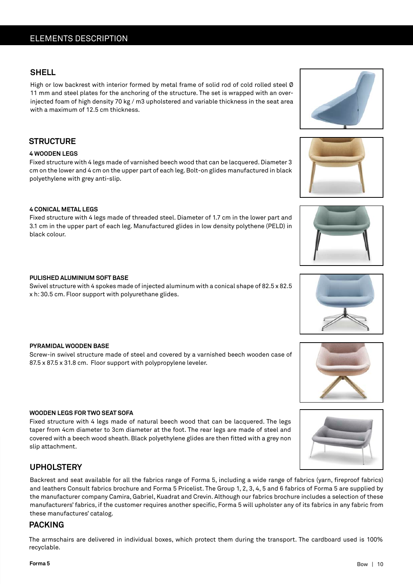### **SHELL**

High or low backrest with interior formed by metal frame of solid rod of cold rolled steel Ø 11 mm and steel plates for the anchoring of the structure. The set is wrapped with an overinjected foam of high density 70 kg / m3 upholstered and variable thickness in the seat area with a maximum of 12.5 cm thickness.

### **STRUCTURE**

#### **4 WOODEN LEGS**

Fixed structure with 4 legs made of varnished beech wood that can be lacquered. Diameter 3 cm on the lower and 4 cm on the upper part of each leg. Bolt-on glides manufactured in black polyethylene with grey anti-slip.

#### **4 CONICAL METAL LEGS**

Fixed structure with 4 legs made of threaded steel. Diameter of 1.7 cm in the lower part and 3.1 cm in the upper part of each leg. Manufactured glides in low density polythene (PELD) in black colour.

### **PULISHED ALUMINIUM SOFT BASE**

Swivel structure with 4 spokes made of injected aluminum with a conical shape of 82.5 x 82.5 x h: 30.5 cm. Floor support with polyurethane glides.

### **PYRAMIDAL WOODEN BASE**

Screw-in swivel structure made of steel and covered by a varnished beech wooden case of 87.5 x 87.5 x 31.8 cm. Floor support with polypropylene leveler.

### **WOODEN LEGS FOR TWO SEAT SOFA**

Fixed structure with 4 legs made of natural beech wood that can be lacquered. The legs taper from 4cm diameter to 3cm diameter at the foot. The rear legs are made of steel and covered with a beech wood sheath. Black polyethylene glides are then fitted with a grey non slip attachment.

### **UPHOLSTERY**

Backrest and seat available for all the fabrics range of Forma 5, including a wide range of fabrics (yarn, fireproof fabrics) and leathers Consult fabrics brochure and Forma 5 Pricelist. The Group 1, 2, 3, 4, 5 and 6 fabrics of Forma 5 are supplied by the manufacturer company Camira, Gabriel, Kuadrat and Crevin. Although our fabrics brochure includes a selection of these manufacturers' fabrics, if the customer requires another specific, Forma 5 will upholster any of its fabrics in any fabric from these manufactures' catalog.

### **PACKING**

The armschairs are delivered in individual boxes, which protect them during the transport. The cardboard used is 100% recyclable.









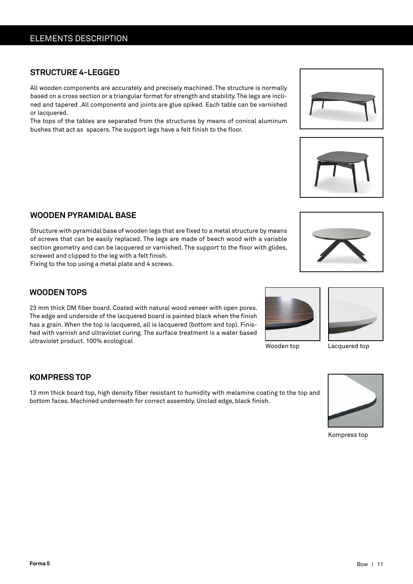### ELEMENTS DESCRIPTION

### **STRUCTURE 4-LEGGED**

All wooden components are accurately and precisely machined. The structure is normally based on a cross section or a triangular format for strength and stability. The legs are inclined and tapered .All components and joints are glue spiked. Each table can be varnished or lacquered.

The tops of the tables are separated from the structures by means of conical aluminum bushes that act as spacers. The support legs have a felt finish to the floor.

### **WOODEN PYRAMIDAL BASE**

Structure with pyramidal base of wooden legs that are fixed to a metal structure by means of screws that can be easily replaced. The legs are made of beech wood with a variable section geometry and can be lacquered or varnished. The support to the floor with glides, screwed and clipped to the leg with a felt finish.

Fixing to the top using a metal plate and 4 screws.

# 23 mm thick DM fiber board. Coated with natural wood veneer with open pores.

**WOODEN TOPS**

The edge and underside of the lacquered board is painted black when the finish has a grain. When the top is lacquered, all is lacquered (bottom and top). Finished with varnish and ultraviolet curing. The surface treatment is a water based ultraviolet product. 100% ecological

#### **KOMPRESS TOP**

13 mm thick board top, high density fiber resistant to humidity with melamine coating to the top and bottom faces. Machined underneath for correct assembly. Unclad edge, black finish.

Kompress top









Wooden top



Lacquered top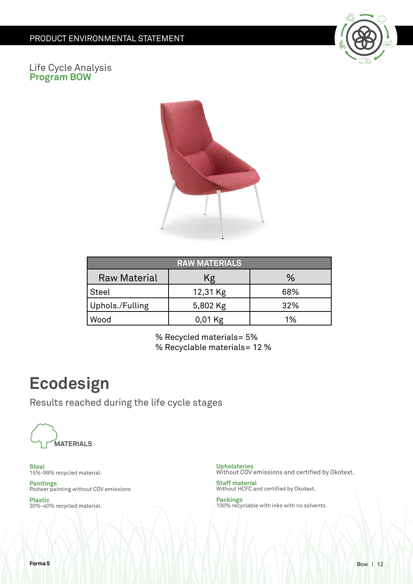

### Life Cycle Analysis **Program BOW**



| <b>RAW MATERIALS</b> |           |     |  |
|----------------------|-----------|-----|--|
| <b>Raw Material</b>  | Κg        | %   |  |
| <b>Steel</b>         | 12,31 Kg  | 68% |  |
| Uphols./Fulling      | 5,802 Kg  | 32% |  |
| Wood                 | $0,01$ Kg | 1%  |  |

% Recycled materials= 5% % Recyclable materials= 12 %

# **Ecodesign**

Results reached during the life cycle stages



**Steel** 15%-99% recycled material.

**Paintings** Podwer painting without COV emissions

**Plastic** 30%-40% recycled material. **Upholsteries** Without COV emissions and certified by Okotext.

**Staff material** Without HCFC and certified by Okotext.

**Packings** 100% recyclable with inks with no solvents.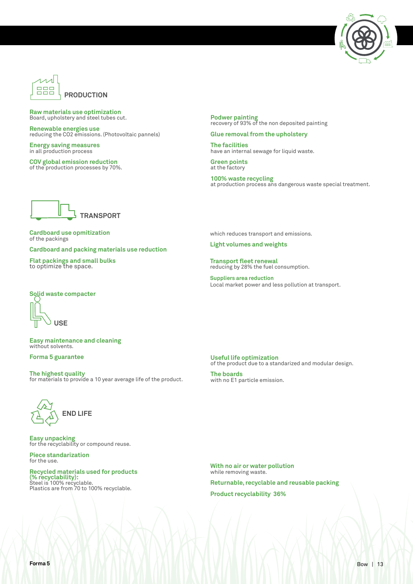



#### **Raw materials use optimization**  Board, upholstery and steel tubes cut.

**Renewable energies use** reducing the CO2 emissions. (Photovoltaic pannels)

**Energy saving measures** in all production process

**COV global emission reduction** of the production processes by 70%. **Podwer painting** recovery of 93% of the non deposited painting

#### **Glue removal from the upholstery**

**The facilities**  have an internal sewage for liquid waste.

**Green points**  at the factory

**100% waste recycling**  at production process ans dangerous waste special treatment.



**Cardboard use opmitization** of the packings

**Cardboard and packing materials use reduction**

**Flat packings and small bulks** to optimize the space.

#### which reduces transport and emissions.

**Light volumes and weights**

**Transport fleet renewal**  reducing by 28% the fuel consumption.

**Suppliers area reduction** Local market power and less pollution at transport.

#### **Solid waste compacter**



**Easy maintenance and cleaning** without solvents.

#### **Forma 5 guarantee**

**The highest quality** for materials to provide a 10 year average life of the product.



**Easy unpacking** for the recyclability or compound reuse.

**Piece standarization** for the use.

**Recycled materials used for products (% recyclability):** Steel is 100% recyclable. Plastics are from 70 to 100% recyclable.

**Useful life optimization** of the product due to a standarized and modular design.

**The boards** with no E1 particle emission.

**With no air or water pollution** while removing waste.

**Returnable, recyclable and reusable packing Product recyclability 36%**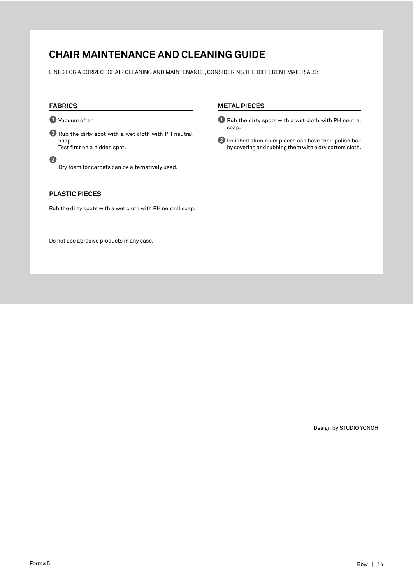### **CHAIR MAINTENANCE AND CLEANING GUIDE**

LINES FOR A CORRECT CHAIR CLEANING AND MAINTENANCE, CONSIDERING THE DIFFERENT MATERIALS:

#### **FABRICS**

**1 1** Vacuum often

**2** Rub the dirty spot with a wet cloth with PH neutral soap. Test first on a hidden spot.

**3** Dry foam for carpets can be alternativaly used.

#### **PLASTIC PIECES**

Rub the dirty spots with a wet cloth with PH neutral soap.

Do not use abrasive products in any case.

#### **METAL PIECES**

- **O** Rub the dirty spots with a wet cloth with PH neutral soap.
- **2** Polished aluminium pieces can have their polish bak by covering and rubbing them with a dry cottom cloth.

Design by STUDIO YONOH